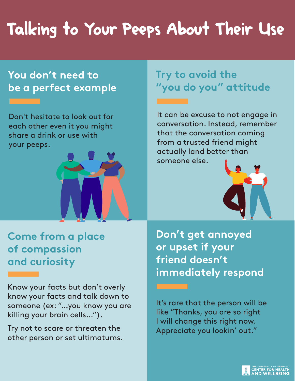# Talking to Your Peeps About Their Use

#### **You don't need to be a perfect example**

Don't hesitate to look out for each other even it you might share a drink or use with your peeps.



#### **Try to avoid the "you do you" attitude**

It can be excuse to not engage in conversation. Instead, remember that the conversation coming from a trusted friend might actually land better than someone else.



Know your facts but don't overly know your facts and talk down to someone (ex: "…you know you are killing your brain cells…").

Try not to scare or threaten the other person or set ultimatums. **Don't get annoyed or upset if your friend doesn't immediately respond**

It's rare that the person will be like "Thanks, you are so right I will change this right now. Appreciate you lookin' out."